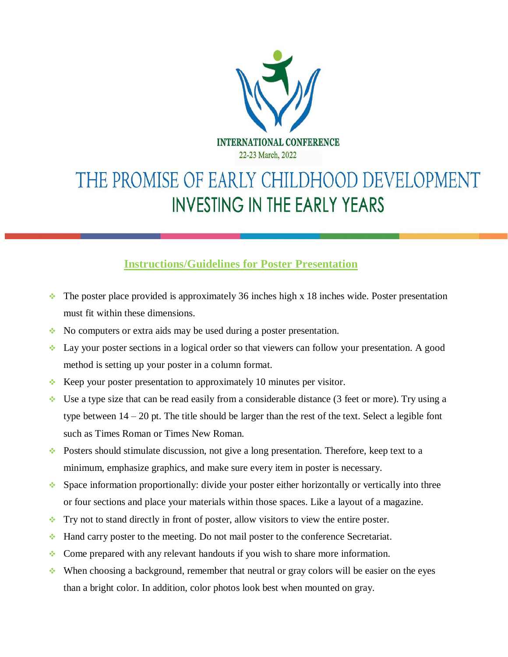

## THE PROMISE OF EARLY CHILDHOOD DEVELOPMENT **INVESTING IN THE EARLY YEARS**

## **Instructions/Guidelines for Poster Presentation**

- $\cdot$  The poster place provided is approximately 36 inches high x 18 inches wide. Poster presentation must fit within these dimensions.
- $\bullet$  No computers or extra aids may be used during a poster presentation.
- $\bullet$  Lay your poster sections in a logical order so that viewers can follow your presentation. A good method is setting up your poster in a column format.
- Keep your poster presentation to approximately 10 minutes per visitor.
- $\bullet$  Use a type size that can be read easily from a considerable distance (3 feet or more). Try using a type between 14 – 20 pt. The title should be larger than the rest of the text. Select a legible font such as Times Roman or Times New Roman.
- Posters should stimulate discussion, not give a long presentation. Therefore, keep text to a minimum, emphasize graphics, and make sure every item in poster is necessary.
- $\bullet$  Space information proportionally: divide your poster either horizontally or vertically into three or four sections and place your materials within those spaces. Like a layout of a magazine.
- $\cdot$  Try not to stand directly in front of poster, allow visitors to view the entire poster.
- $\bullet$  Hand carry poster to the meeting. Do not mail poster to the conference Secretariat.
- Come prepared with any relevant handouts if you wish to share more information.
- When choosing a background, remember that neutral or gray colors will be easier on the eyes than a bright color. In addition, color photos look best when mounted on gray.